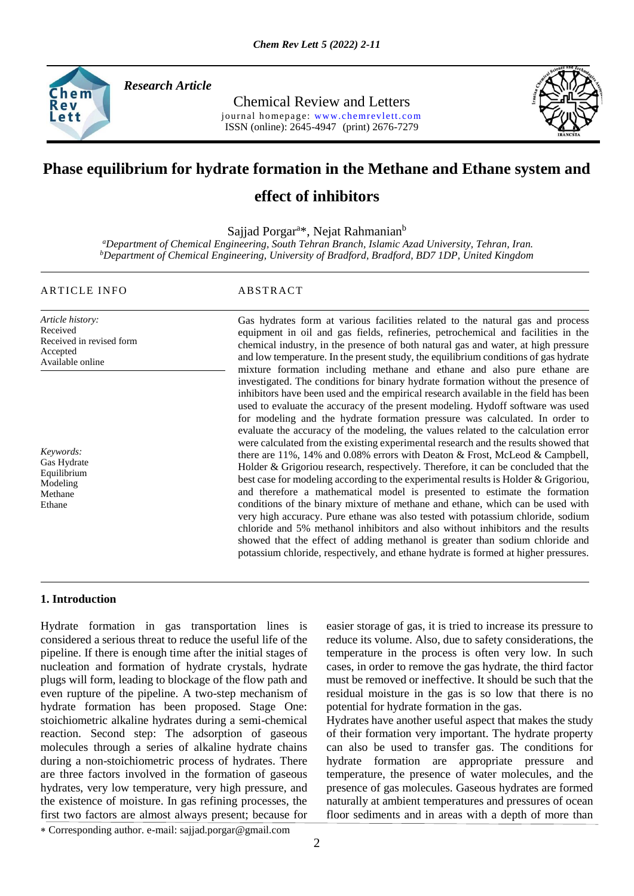

*Research Article* 

Chemical Review and Letters journal homepage: www.chemrevlett.com ISSN (online): 2645-4947(print) 2676-7279



# **Phase equilibrium for hydrate formation in the Methane and Ethane system and**

## **effect of inhibitors**

Sajjad Porgar<sup>a\*</sup>, Nejat Rahmanian<sup>b</sup>

*<sup>a</sup>Department of Chemical Engineering, South Tehran Branch, Islamic Azad University, Tehran, Iran. <sup>b</sup>Department of Chemical Engineering, University of Bradford, Bradford, BD7 1DP, United Kingdom*

#### ARTICLE INFO ABSTRACT

Available online

*Article history:* Received Received in revised form Accepted

*Keywords:* Gas Hydrate Equilibrium Modeling Methane Ethane

Gas hydrates form at various facilities related to the natural gas and process equipment in oil and gas fields, refineries, petrochemical and facilities in the chemical industry, in the presence of both natural gas and water, at high pressure and low temperature. In the present study, the equilibrium conditions of gas hydrate mixture formation including methane and ethane and also pure ethane are investigated. The conditions for binary hydrate formation without the presence of inhibitors have been used and the empirical research available in the field has been used to evaluate the accuracy of the present modeling. Hydoff software was used for modeling and the hydrate formation pressure was calculated. In order to evaluate the accuracy of the modeling, the values related to the calculation error were calculated from the existing experimental research and the results showed that there are 11%, 14% and 0.08% errors with Deaton & Frost, McLeod & Campbell, Holder & Grigoriou research, respectively. Therefore, it can be concluded that the best case for modeling according to the experimental results is Holder & Grigoriou, and therefore a mathematical model is presented to estimate the formation conditions of the binary mixture of methane and ethane, which can be used with very high accuracy. Pure ethane was also tested with potassium chloride, sodium chloride and 5% methanol inhibitors and also without inhibitors and the results showed that the effect of adding methanol is greater than sodium chloride and potassium chloride, respectively, and ethane hydrate is formed at higher pressures.

#### **1. Introduction**

Hydrate formation in gas transportation lines is considered a serious threat to reduce the useful life of the pipeline. If there is enough time after the initial stages of nucleation and formation of hydrate crystals, hydrate plugs will form, leading to blockage of the flow path and even rupture of the pipeline. A two-step mechanism of hydrate formation has been proposed. Stage One: stoichiometric alkaline hydrates during a semi-chemical reaction. Second step: The adsorption of gaseous molecules through a series of alkaline hydrate chains during a non-stoichiometric process of hydrates. There are three factors involved in the formation of gaseous hydrates, very low temperature, very high pressure, and the existence of moisture. In gas refining processes, the first two factors are almost always present; because for

easier storage of gas, it is tried to increase its pressure to reduce its volume. Also, due to safety considerations, the temperature in the process is often very low. In such cases, in order to remove the gas hydrate, the third factor must be removed or ineffective. It should be such that the residual moisture in the gas is so low that there is no potential for hydrate formation in the gas.

Hydrates have another useful aspect that makes the study of their formation very important. The hydrate property can also be used to transfer gas. The conditions for hydrate formation are appropriate pressure and temperature, the presence of water molecules, and the presence of gas molecules. Gaseous hydrates are formed naturally at ambient temperatures and pressures of ocean floor sediments and in areas with a depth of more than

Corresponding author. e-mail: sajjad.porgar@gmail.com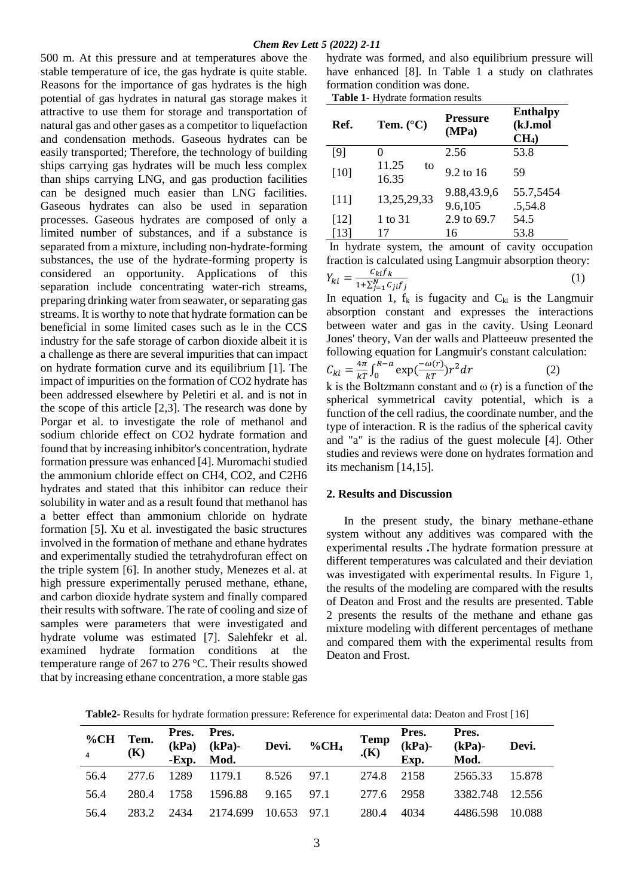500 m. At this pressure and at temperatures above the stable temperature of ice, the gas hydrate is quite stable. Reasons for the importance of gas hydrates is the high potential of gas hydrates in natural gas storage makes it attractive to use them for storage and transportation of natural gas and other gases as a competitor to liquefaction and condensation methods. Gaseous hydrates can be easily transported; Therefore, the technology of building ships carrying gas hydrates will be much less complex than ships carrying LNG, and gas production facilities can be designed much easier than LNG facilities. Gaseous hydrates can also be used in separation processes. Gaseous hydrates are composed of only a limited number of substances, and if a substance is separated from a mixture, including non-hydrate-forming substances, the use of the hydrate-forming property is considered an opportunity. Applications of this separation include concentrating water-rich streams, preparing drinking water from seawater, or separating gas streams. It is worthy to note that hydrate formation can be beneficial in some limited cases such as le in the CCS industry for the safe storage of carbon dioxide albeit it is a challenge as there are several impurities that can impact on hydrate formation curve and its equilibrium [1]. The impact of impurities on the formation of CO2 hydrate has been addressed elsewhere by Peletiri et al. and is not in the scope of this article [2,3]. The research was done by Porgar et al. to investigate the role of methanol and sodium chloride effect on CO2 hydrate formation and found that by increasing inhibitor's concentration, hydrate formation pressure was enhanced [4]. Muromachi studied the ammonium chloride effect on CH4, CO2, and C2H6 hydrates and stated that this inhibitor can reduce their solubility in water and as a result found that methanol has a better effect than ammonium chloride on hydrate formation [5]. Xu et al. investigated the basic structures involved in the formation of methane and ethane hydrates and experimentally studied the tetrahydrofuran effect on the triple system [6]. In another study, Menezes et al. at high pressure experimentally perused methane, ethane, and carbon dioxide hydrate system and finally compared their results with software. The rate of cooling and size of samples were parameters that were investigated and hydrate volume was estimated [7]. Salehfekr et al. examined hydrate formation conditions at the temperature range of 267 to 276 °C. Their results showed that by increasing ethane concentration, a more stable gas

hydrate was formed, and also equilibrium pressure will have enhanced [8]. In Table 1 a study on clathrates formation condition was done.

**Table 1-** Hydrate formation results

| Ref.   | Tem. $(^{\circ}C)$   | <b>Pressure</b><br>(MPa) | <b>Enthalpy</b><br>(kJ.mol<br>CH <sub>4</sub> |
|--------|----------------------|--------------------------|-----------------------------------------------|
| [9]    |                      | 2.56                     | 53.8                                          |
| [10]   | 11.25<br>to<br>16.35 | 9.2 to 16                | 59                                            |
| [11]   | 13,25,29,33          | 9.88,43.9,6<br>9.6,105   | 55.7,5454<br>.5,54.8                          |
| $[12]$ | 1 to 31              | 2.9 to 69.7              | 54.5                                          |
| [13]   | 17                   | 16                       | 53.8                                          |

In hydrate system, the amount of cavity occupation fraction is calculated using Langmuir absorption theory:  $Y_{ki} = \frac{c_{ki}f_k}{1 + \nabla^N_{i} - C}$  $1+\sum_{j=1}^N C_{ji}f_j$  $(1)$ 

In equation 1,  $f_k$  is fugacity and  $C_{ki}$  is the Langmuir absorption constant and expresses the interactions between water and gas in the cavity. Using Leonard Jones' theory, Van der walls and Platteeuw presented the following equation for Langmuir's constant calculation:

$$
C_{ki} = \frac{4\pi}{kT} \int_0^{R-a} \exp\left(\frac{-\omega(r)}{kT}\right) r^2 dr \tag{2}
$$

k is the Boltzmann constant and  $\omega$  (r) is a function of the spherical symmetrical cavity potential, which is a function of the cell radius, the coordinate number, and the type of interaction. R is the radius of the spherical cavity and "a" is the radius of the guest molecule [4]. Other studies and reviews were done on hydrates formation and its mechanism [14,15].

#### **2. Results and Discussion**

 In the present study, the binary methane-ethane system without any additives was compared with the experimental results **.**The hydrate formation pressure at different temperatures was calculated and their deviation was investigated with experimental results. In Figure 1, the results of the modeling are compared with the results of Deaton and Frost and the results are presented. Table 2 presents the results of the methane and ethane gas mixture modeling with different percentages of methane and compared them with the experimental results from Deaton and Frost.

| %CH Tem.<br>$\overline{4}$ | (K)   | Pres. Pres.<br>(kPa) | $(kPa)$ -<br>-Exp. Mod.         | Devi. %CH <sub>4</sub> | $\mathop{\mathbf{Temp}}\limits_{\boldsymbol{\cdot}(\mathbf{K})}$ | $\mathbf{Exp.}$ | Pres. Pres.<br>(kPa)- (kPa)-<br>Mod. | Devi. |
|----------------------------|-------|----------------------|---------------------------------|------------------------|------------------------------------------------------------------|-----------------|--------------------------------------|-------|
| 56.4                       |       |                      | 277.6 1289 1179.1 8.526 97.1    |                        |                                                                  |                 | 274.8 2158 2565.33 15.878            |       |
| 56.4                       | 280.4 |                      | 1758 1596.88 9.165 97.1         |                        | 277.6 2958                                                       |                 | 3382.748 12.556                      |       |
| 56.4                       |       |                      | 283.2 2434 2174.699 10.653 97.1 |                        | 280.4                                                            | 4034            | 4486.598 10.088                      |       |

**Table2-** Results for hydrate formation pressure: Reference for experimental data: Deaton and Frost [16]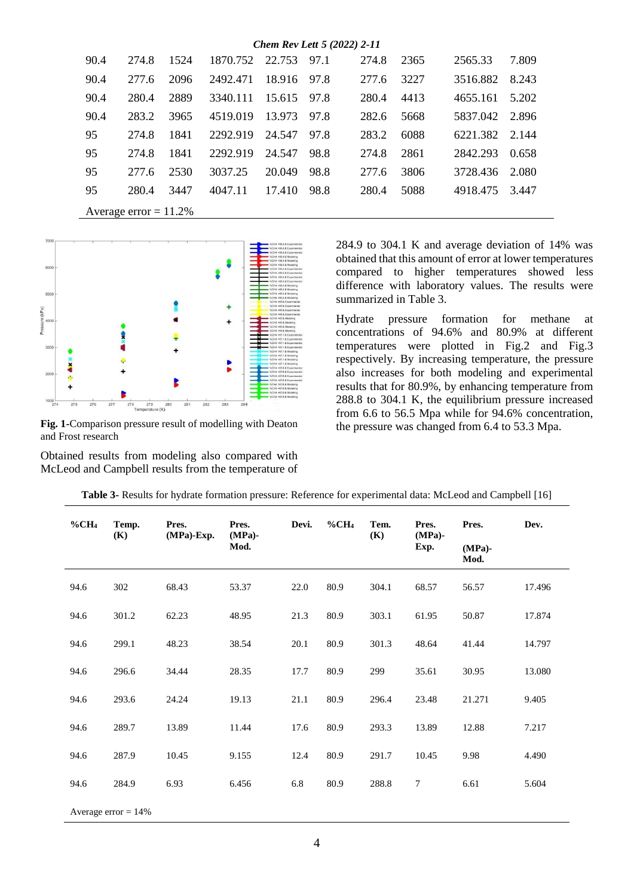| Chem Rev Lett 5 (2022) 2-11 |       |      |          |        |      |       |      |          |       |  |  |  |
|-----------------------------|-------|------|----------|--------|------|-------|------|----------|-------|--|--|--|
| 90.4                        | 274.8 | 1524 | 1870.752 | 22.753 | 97.1 | 274.8 | 2365 | 2565.33  | 7.809 |  |  |  |
| 90.4                        | 277.6 | 2096 | 2492.471 | 18.916 | 97.8 | 277.6 | 3227 | 3516.882 | 8.243 |  |  |  |
| 90.4                        | 280.4 | 2889 | 3340.111 | 15.615 | 97.8 | 280.4 | 4413 | 4655.161 | 5.202 |  |  |  |
| 90.4                        | 283.2 | 3965 | 4519.019 | 13.973 | 97.8 | 282.6 | 5668 | 5837.042 | 2.896 |  |  |  |
| 95                          | 274.8 | 1841 | 2292.919 | 24.547 | 97.8 | 283.2 | 6088 | 6221.382 | 2.144 |  |  |  |
| 95                          | 274.8 | 1841 | 2292.919 | 24.547 | 98.8 | 274.8 | 2861 | 2842.293 | 0.658 |  |  |  |
| 95                          | 277.6 | 2530 | 3037.25  | 20.049 | 98.8 | 277.6 | 3806 | 3728.436 | 2.080 |  |  |  |
| 95                          | 280.4 | 3447 | 4047.11  | 17.410 | 98.8 | 280.4 | 5088 | 4918.475 | 3.447 |  |  |  |
|                             |       |      |          |        |      |       |      |          |       |  |  |  |

Average error  $= 11.2\%$ 



**Fig. 1-**Comparison pressure result of modelling with Deaton and Frost research

Obtained results from modeling also compared with McLeod and Campbell results from the temperature of

284.9 to 304.1 K and average deviation of 14% was obtained that this amount of error at lower temperatures compared to higher temperatures showed less difference with laboratory values. The results were summarized in Table 3.

Hydrate pressure formation for methane at concentrations of 94.6% and 80.9% at different temperatures were plotted in Fig.2 and Fig.3 respectively. By increasing temperature, the pressure also increases for both modeling and experimental results that for 80.9%, by enhancing temperature from 288.8 to 304.1 K, the equilibrium pressure increased from 6.6 to 56.5 Mpa while for 94.6% concentration, the pressure was changed from 6.4 to 53.3 Mpa.

| $\%$ CH <sub>4</sub> | Temp.<br>(K)           | Pres.<br>(MPa)-Exp. | Pres.<br>$(MPa)$ - | Devi. | $\%$ CH <sub>4</sub> | Tem.<br>(K) | Pres.<br>$(MPa)$ - | Pres.             | Dev.   |
|----------------------|------------------------|---------------------|--------------------|-------|----------------------|-------------|--------------------|-------------------|--------|
|                      |                        |                     | Mod.               |       |                      |             | Exp.               | $(MPa)$ -<br>Mod. |        |
| 94.6                 | 302                    | 68.43               | 53.37              | 22.0  | 80.9                 | 304.1       | 68.57              | 56.57             | 17.496 |
| 94.6                 | 301.2                  | 62.23               | 48.95              | 21.3  | 80.9                 | 303.1       | 61.95              | 50.87             | 17.874 |
| 94.6                 | 299.1                  | 48.23               | 38.54              | 20.1  | 80.9                 | 301.3       | 48.64              | 41.44             | 14.797 |
| 94.6                 | 296.6                  | 34.44               | 28.35              | 17.7  | 80.9                 | 299         | 35.61              | 30.95             | 13.080 |
| 94.6                 | 293.6                  | 24.24               | 19.13              | 21.1  | 80.9                 | 296.4       | 23.48              | 21.271            | 9.405  |
| 94.6                 | 289.7                  | 13.89               | 11.44              | 17.6  | 80.9                 | 293.3       | 13.89              | 12.88             | 7.217  |
| 94.6                 | 287.9                  | 10.45               | 9.155              | 12.4  | 80.9                 | 291.7       | 10.45              | 9.98              | 4.490  |
| 94.6                 | 284.9                  | 6.93                | 6.456              | 6.8   | 80.9                 | 288.8       | $\tau$             | 6.61              | 5.604  |
|                      | Average error $= 14\%$ |                     |                    |       |                      |             |                    |                   |        |

**Table 3-** Results for hydrate formation pressure: Reference for experimental data: McLeod and Campbell [16]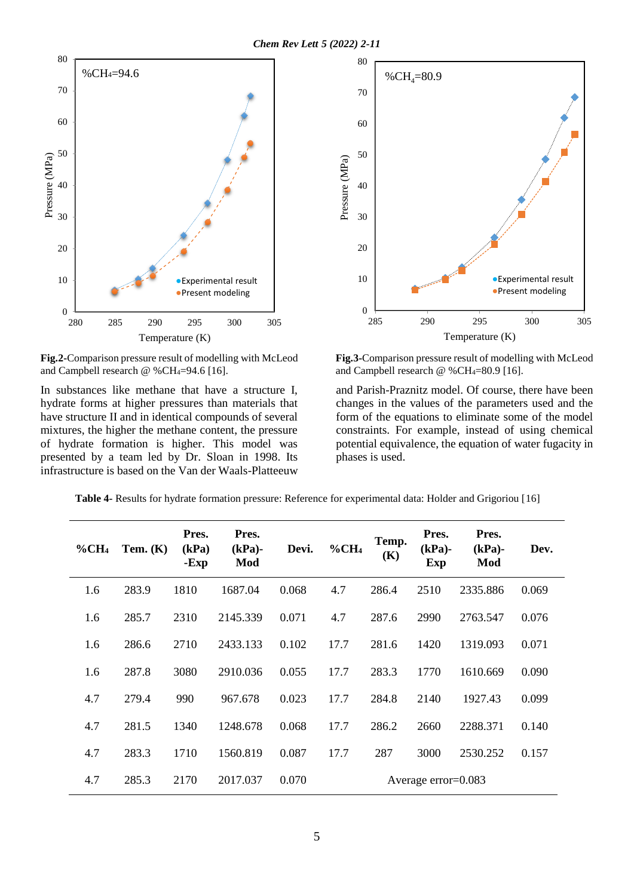

**Fig.2-**Comparison pressure result of modelling with McLeod and Campbell research  $\omega$  %CH<sub>4</sub>=94.6 [16].

In substances like methane that have a structure I, hydrate forms at higher pressures than materials that have structure II and in identical compounds of several mixtures, the higher the methane content, the pressure of hydrate formation is higher. This model was presented by a team led by Dr. Sloan in 1998. Its infrastructure is based on the Van der Waals-Platteeuw



**Fig.3-**Comparison pressure result of modelling with McLeod and Campbell research  $\omega$  %CH<sub>4</sub>=80.9 [16].

and Parish-Praznitz model. Of course, there have been changes in the values of the parameters used and the form of the equations to eliminate some of the model constraints. For example, instead of using chemical potential equivalence, the equation of water fugacity in phases is used.

**Table 4-** Results for hydrate formation pressure: Reference for experimental data: Holder and Grigoriou [16]

| $\%$ CH <sub>4</sub> | Tem. $(K)$ | Pres.<br>(kPa)<br>-Exp | Pres.<br>$(kPa)$ -<br>Mod | Devi. | $\%$ CH <sub>4</sub> | Temp.<br>(K) | Pres.<br>$(kPa)$ -<br><b>Exp</b> | Pres.<br>$(kPa)$ -<br>Mod | Dev.  |
|----------------------|------------|------------------------|---------------------------|-------|----------------------|--------------|----------------------------------|---------------------------|-------|
| 1.6                  | 283.9      | 1810                   | 1687.04                   | 0.068 | 4.7                  | 286.4        | 2510                             | 2335.886                  | 0.069 |
| 1.6                  | 285.7      | 2310                   | 2145.339                  | 0.071 | 4.7                  | 287.6        | 2990                             | 2763.547                  | 0.076 |
| 1.6                  | 286.6      | 2710                   | 2433.133                  | 0.102 | 17.7                 | 281.6        | 1420                             | 1319.093                  | 0.071 |
| 1.6                  | 287.8      | 3080                   | 2910.036                  | 0.055 | 17.7                 | 283.3        | 1770                             | 1610.669                  | 0.090 |
| 4.7                  | 279.4      | 990                    | 967.678                   | 0.023 | 17.7                 | 284.8        | 2140                             | 1927.43                   | 0.099 |
| 4.7                  | 281.5      | 1340                   | 1248.678                  | 0.068 | 17.7                 | 286.2        | 2660                             | 2288.371                  | 0.140 |
| 4.7                  | 283.3      | 1710                   | 1560.819                  | 0.087 | 17.7                 | 287          | 3000                             | 2530.252                  | 0.157 |
| 4.7                  | 285.3      | 2170                   | 2017.037                  | 0.070 |                      |              | Average error= $0.083$           |                           |       |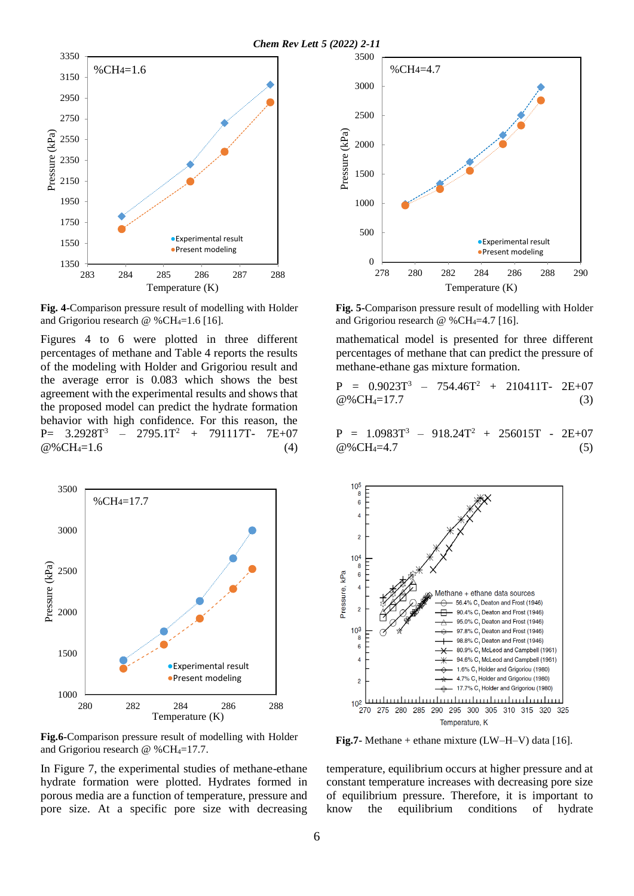

**Fig. 4-**Comparison pressure result of modelling with Holder and Grigoriou research  $\omega$  %CH<sub>4</sub>=1.6 [16].

Figures 4 to 6 were plotted in three different percentages of methane and Table 4 reports the results of the modeling with Holder and Grigoriou result and the average error is 0.083 which shows the best agreement with the experimental results and shows that the proposed model can predict the hydrate formation behavior with high confidence. For this reason, the P=  $3.2928T^3$  –  $2795.1T^2$  +  $791117T$ -  $7E+07$  $@%CH_4=1.6$  (4)



**Fig.6-**Comparison pressure result of modelling with Holder and Grigoriou research  $@$  %CH<sub>4</sub>=17.7.

In Figure 7, the experimental studies of methane-ethane hydrate formation were plotted. Hydrates formed in porous media are a function of temperature, pressure and pore size. At a specific pore size with decreasing



**Fig. 5-**Comparison pressure result of modelling with Holder and Grigoriou research  $@$  %CH<sub>4</sub>=4.7 [16].

mathematical model is presented for three different percentages of methane that can predict the pressure of methane-ethane gas mixture formation.

$$
P = 0.9023T3 - 754.46T2 + 210411T - 2E+07
$$
  
\n
$$
@%CH4=17.7
$$
 (3)

$$
P = 1.0983T3 - 918.24T2 + 256015T - 2E+07
$$
  
@%CH<sub>4</sub>=4.7 (5)



**Fig.7-** Methane + ethane mixture (LW–H–V) data [16].

temperature, equilibrium occurs at higher pressure and at constant temperature increases with decreasing pore size of equilibrium pressure. Therefore, it is important to know the equilibrium conditions of hydrate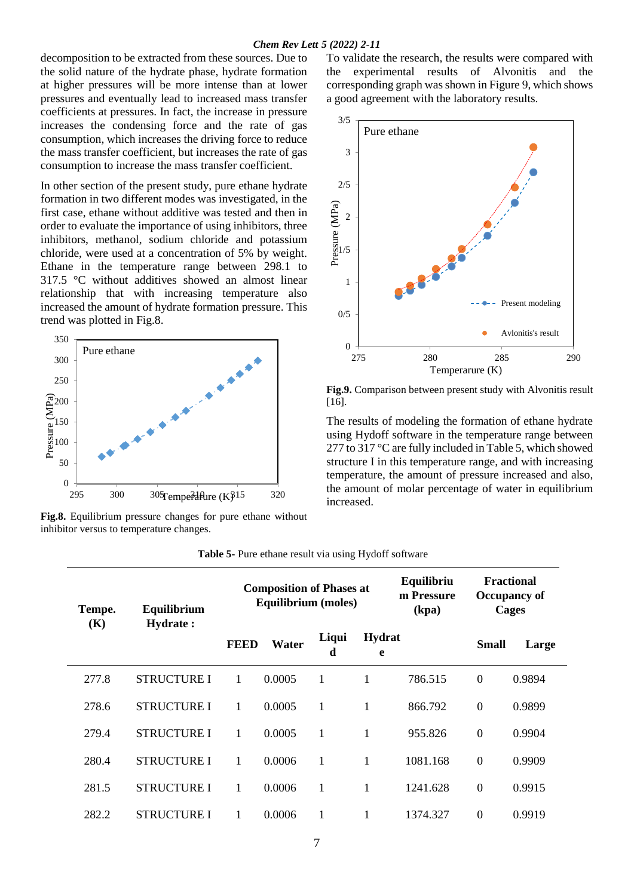decomposition to be extracted from these sources. Due to the solid nature of the hydrate phase, hydrate formation at higher pressures will be more intense than at lower pressures and eventually lead to increased mass transfer coefficients at pressures. In fact, the increase in pressure increases the condensing force and the rate of gas consumption, which increases the driving force to reduce the mass transfer coefficient, but increases the rate of gas consumption to increase the mass transfer coefficient.

In other section of the present study, pure ethane hydrate formation in two different modes was investigated, in the first case, ethane without additive was tested and then in order to evaluate the importance of using inhibitors, three inhibitors, methanol, sodium chloride and potassium chloride, were used at a concentration of 5% by weight. Ethane in the temperature range between 298.1 to 317.5 °C without additives showed an almost linear relationship that with increasing temperature also increased the amount of hydrate formation pressure. This trend was plotted in Fig.8.



**Fig.8.** Equilibrium pressure changes for pure ethane without inhibitor versus to temperature changes.

To validate the research, the results were compared with the experimental results of Alvonitis and the corresponding graph was shown in Figure 9, which shows a good agreement with the laboratory results.



**Fig.9.** Comparison between present study with Alvonitis result [16].

The results of modeling the formation of ethane hydrate using Hydoff software in the temperature range between 277 to 317 °C are fully included in Table 5, which showed structure I in this temperature range, and with increasing temperature, the amount of pressure increased and also, the amount of molar percentage of water in equilibrium increased.

| Tempe. | Equilibrium        |             | <b>Composition of Phases at</b><br>Equilibrium (moles) |                             |   | Equilibriu<br>m Pressure<br>(kpa) |                  | <b>Fractional</b><br>Occupancy of<br>Cages |
|--------|--------------------|-------------|--------------------------------------------------------|-----------------------------|---|-----------------------------------|------------------|--------------------------------------------|
| (K)    | <b>Hydrate:</b>    | <b>FEED</b> | Water                                                  | Liqui<br><b>Hydrat</b><br>d |   |                                   | <b>Small</b>     | Large                                      |
| 277.8  | <b>STRUCTURE I</b> | 1           | 0.0005                                                 | 1                           | 1 | 786.515                           | $\mathbf{0}$     | 0.9894                                     |
| 278.6  | <b>STRUCTURE I</b> | 1           | 0.0005                                                 | 1                           | 1 | 866.792                           | $\mathbf{0}$     | 0.9899                                     |
| 279.4  | <b>STRUCTURE I</b> | 1           | 0.0005                                                 | 1                           | 1 | 955.826                           | $\mathbf{0}$     | 0.9904                                     |
| 280.4  | <b>STRUCTURE I</b> | 1           | 0.0006                                                 | 1                           | 1 | 1081.168                          | $\mathbf{0}$     | 0.9909                                     |
| 281.5  | <b>STRUCTURE I</b> | 1           | 0.0006                                                 | $\mathbf{1}$                | 1 | 1241.628                          | $\mathbf{0}$     | 0.9915                                     |
| 282.2  | <b>STRUCTURE I</b> | 1           | 0.0006                                                 | 1                           | 1 | 1374.327                          | $\boldsymbol{0}$ | 0.9919                                     |

**Table 5-** Pure ethane result via using Hydoff software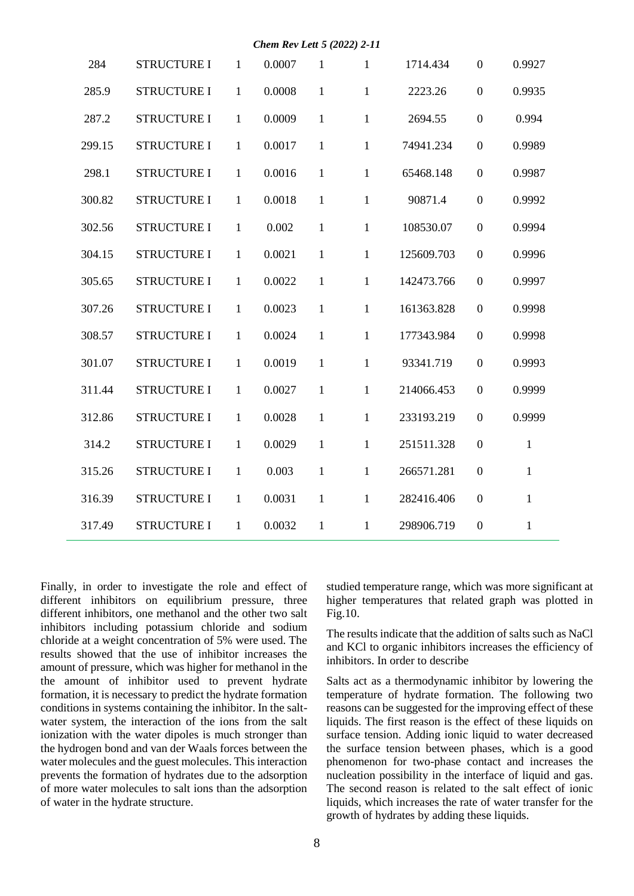|        |                    |              | Chem Rev Lett 5 (2022) 2-11 |              |              |            |                  |              |
|--------|--------------------|--------------|-----------------------------|--------------|--------------|------------|------------------|--------------|
| 284    | <b>STRUCTURE I</b> | $\mathbf{1}$ | 0.0007                      | $\mathbf{1}$ | $\mathbf{1}$ | 1714.434   | $\overline{0}$   | 0.9927       |
| 285.9  | <b>STRUCTURE I</b> | $\mathbf{1}$ | 0.0008                      | $\mathbf{1}$ | 1            | 2223.26    | $\boldsymbol{0}$ | 0.9935       |
| 287.2  | <b>STRUCTURE I</b> | $\mathbf{1}$ | 0.0009                      | $\mathbf{1}$ | $\mathbf{1}$ | 2694.55    | $\boldsymbol{0}$ | 0.994        |
| 299.15 | <b>STRUCTURE I</b> | $\mathbf{1}$ | 0.0017                      | $\mathbf{1}$ | $\mathbf{1}$ | 74941.234  | $\boldsymbol{0}$ | 0.9989       |
| 298.1  | <b>STRUCTURE I</b> | $\mathbf{1}$ | 0.0016                      | $\mathbf{1}$ | 1            | 65468.148  | $\boldsymbol{0}$ | 0.9987       |
| 300.82 | <b>STRUCTURE I</b> | $\mathbf{1}$ | 0.0018                      | $\mathbf{1}$ | $\mathbf{1}$ | 90871.4    | $\boldsymbol{0}$ | 0.9992       |
| 302.56 | <b>STRUCTURE I</b> | $\mathbf{1}$ | 0.002                       | $\mathbf{1}$ | $\mathbf{1}$ | 108530.07  | $\overline{0}$   | 0.9994       |
| 304.15 | <b>STRUCTURE I</b> | $\mathbf{1}$ | 0.0021                      | $\mathbf{1}$ | $\mathbf{1}$ | 125609.703 | $\boldsymbol{0}$ | 0.9996       |
| 305.65 | <b>STRUCTURE I</b> | $\mathbf{1}$ | 0.0022                      | $\mathbf{1}$ | 1            | 142473.766 | $\boldsymbol{0}$ | 0.9997       |
| 307.26 | <b>STRUCTURE I</b> | $\mathbf{1}$ | 0.0023                      | $\mathbf{1}$ | 1            | 161363.828 | $\overline{0}$   | 0.9998       |
| 308.57 | <b>STRUCTURE I</b> | $\mathbf{1}$ | 0.0024                      | $\mathbf{1}$ | $\mathbf{1}$ | 177343.984 | $\boldsymbol{0}$ | 0.9998       |
| 301.07 | <b>STRUCTURE I</b> | 1            | 0.0019                      | $\mathbf{1}$ | 1            | 93341.719  | $\boldsymbol{0}$ | 0.9993       |
| 311.44 | <b>STRUCTURE I</b> | 1            | 0.0027                      | $\mathbf{1}$ | 1            | 214066.453 | $\boldsymbol{0}$ | 0.9999       |
| 312.86 | <b>STRUCTURE I</b> | 1            | 0.0028                      | $\mathbf{1}$ | $\mathbf{1}$ | 233193.219 | $\boldsymbol{0}$ | 0.9999       |
| 314.2  | <b>STRUCTURE I</b> | 1            | 0.0029                      | $\mathbf{1}$ | 1            | 251511.328 | $\boldsymbol{0}$ | $\mathbf{1}$ |
| 315.26 | <b>STRUCTURE I</b> | 1            | 0.003                       | $\mathbf{1}$ | $\mathbf{1}$ | 266571.281 | $\boldsymbol{0}$ | $\mathbf{1}$ |
| 316.39 | <b>STRUCTURE I</b> | 1            | 0.0031                      | $\mathbf{1}$ | $\mathbf{1}$ | 282416.406 | $\boldsymbol{0}$ | $\mathbf{1}$ |
| 317.49 | <b>STRUCTURE I</b> | $\mathbf{1}$ | 0.0032                      | $\mathbf{1}$ | 1            | 298906.719 | $\boldsymbol{0}$ | $\mathbf{1}$ |

Finally, in order to investigate the role and effect of different inhibitors on equilibrium pressure, three different inhibitors, one methanol and the other two salt inhibitors including potassium chloride and sodium chloride at a weight concentration of 5% were used. The results showed that the use of inhibitor increases the amount of pressure, which was higher for methanol in the the amount of inhibitor used to prevent hydrate formation, it is necessary to predict the hydrate formation conditions in systems containing the inhibitor. In the saltwater system, the interaction of the ions from the salt ionization with the water dipoles is much stronger than the hydrogen bond and van der Waals forces between the water molecules and the guest molecules. This interaction prevents the formation of hydrates due to the adsorption of more water molecules to salt ions than the adsorption of water in the hydrate structure.

studied temperature range, which was more significant at higher temperatures that related graph was plotted in Fig.10.

The results indicate that the addition of salts such as NaCl and KCl to organic inhibitors increases the efficiency of inhibitors. In order to describe

Salts act as a thermodynamic inhibitor by lowering the temperature of hydrate formation. The following two reasons can be suggested for the improving effect of these liquids. The first reason is the effect of these liquids on surface tension. Adding ionic liquid to water decreased the surface tension between phases, which is a good phenomenon for two-phase contact and increases the nucleation possibility in the interface of liquid and gas. The second reason is related to the salt effect of ionic liquids, which increases the rate of water transfer for the growth of hydrates by adding these liquids.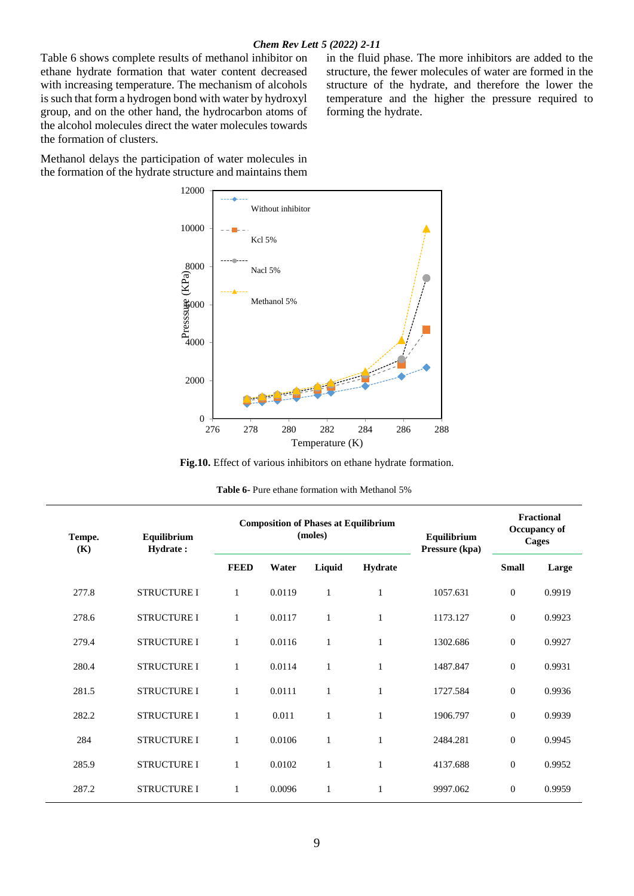#### *Chem Rev Lett 5 (2022) 2-11*

Table 6 shows complete results of methanol inhibitor on ethane hydrate formation that water content decreased with increasing temperature. The mechanism of alcohols is such that form a hydrogen bond with water by hydroxyl group, and on the other hand, the hydrocarbon atoms of the alcohol molecules direct the water molecules towards the formation of clusters.

Methanol delays the participation of water molecules in the formation of the hydrate structure and maintains them in the fluid phase. The more inhibitors are added to the structure, the fewer molecules of water are formed in the structure of the hydrate, and therefore the lower the temperature and the higher the pressure required to forming the hydrate.



**Fig.10.** Effect of various inhibitors on ethane hydrate formation.

| <b>Table 6-</b> Pure ethane formation with Methanol 5% |
|--------------------------------------------------------|
|--------------------------------------------------------|

| Tempe.<br>(K) | Equilibrium<br>Hydrate: |              |        | <b>Composition of Phases at Equilibrium</b><br>(moles) | Equilibrium<br>Pressure (kpa) | <b>Fractional</b><br>Occupancy of<br><b>Cages</b> |              |        |
|---------------|-------------------------|--------------|--------|--------------------------------------------------------|-------------------------------|---------------------------------------------------|--------------|--------|
|               |                         | <b>FEED</b>  | Water  | Liquid                                                 | <b>Hydrate</b>                |                                                   | <b>Small</b> | Large  |
| 277.8         | <b>STRUCTURE I</b>      | $\mathbf{1}$ | 0.0119 | 1                                                      | 1                             | 1057.631                                          | $\Omega$     | 0.9919 |
| 278.6         | <b>STRUCTURE I</b>      | 1            | 0.0117 | 1                                                      | $\mathbf{1}$                  | 1173.127                                          | $\mathbf{0}$ | 0.9923 |
| 279.4         | <b>STRUCTURE I</b>      | 1            | 0.0116 | 1                                                      | 1                             | 1302.686                                          | $\mathbf{0}$ | 0.9927 |
| 280.4         | <b>STRUCTURE I</b>      | 1            | 0.0114 | 1                                                      | 1                             | 1487.847                                          | $\mathbf{0}$ | 0.9931 |
| 281.5         | <b>STRUCTURE I</b>      | 1            | 0.0111 | 1                                                      | 1                             | 1727.584                                          | $\mathbf{0}$ | 0.9936 |
| 282.2         | <b>STRUCTURE I</b>      | $\mathbf{1}$ | 0.011  |                                                        | 1                             | 1906.797                                          | $\mathbf{0}$ | 0.9939 |
| 284           | <b>STRUCTURE I</b>      | 1            | 0.0106 | 1                                                      | 1                             | 2484.281                                          | $\mathbf{0}$ | 0.9945 |
| 285.9         | <b>STRUCTURE I</b>      | 1            | 0.0102 | $\mathbf{1}$                                           | 1                             | 4137.688                                          | $\mathbf{0}$ | 0.9952 |
| 287.2         | <b>STRUCTURE I</b>      | $\mathbf{1}$ | 0.0096 |                                                        | 1                             | 9997.062                                          | $\mathbf{0}$ | 0.9959 |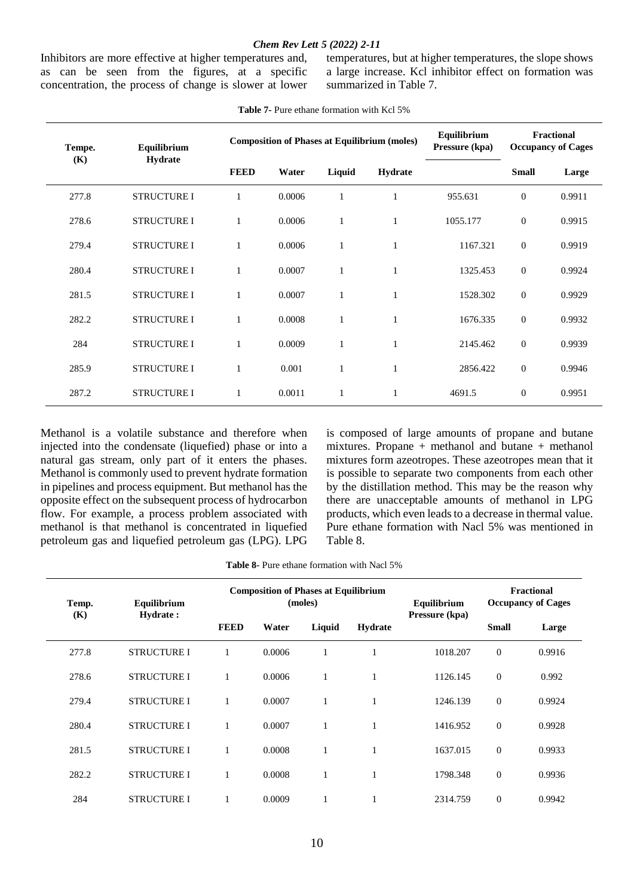#### *Chem Rev Lett 5 (2022) 2-11*

Inhibitors are more effective at higher temperatures and, as can be seen from the figures, at a specific concentration, the process of change is slower at lower temperatures, but at higher temperatures, the slope shows a large increase. Kcl inhibitor effect on formation was summarized in Table 7.

| Tempe. | Equilibrium        |              |        | <b>Composition of Phases at Equilibrium (moles)</b> | Equilibrium<br>Pressure (kpa) | <b>Fractional</b><br><b>Occupancy of Cages</b> |                  |        |
|--------|--------------------|--------------|--------|-----------------------------------------------------|-------------------------------|------------------------------------------------|------------------|--------|
| (K)    | Hydrate            | <b>FEED</b>  | Water  | Liquid                                              | <b>Hydrate</b>                |                                                | <b>Small</b>     | Large  |
| 277.8  | <b>STRUCTURE I</b> | 1            | 0.0006 |                                                     |                               | 955.631                                        | $\mathbf{0}$     | 0.9911 |
| 278.6  | <b>STRUCTURE I</b> | $\mathbf{1}$ | 0.0006 |                                                     |                               | 1055.177                                       | $\mathbf{0}$     | 0.9915 |
| 279.4  | <b>STRUCTURE I</b> | 1            | 0.0006 |                                                     |                               | 1167.321                                       | $\boldsymbol{0}$ | 0.9919 |
| 280.4  | <b>STRUCTURE I</b> | $\mathbf{1}$ | 0.0007 |                                                     |                               | 1325.453                                       | $\boldsymbol{0}$ | 0.9924 |
| 281.5  | <b>STRUCTURE I</b> | 1            | 0.0007 |                                                     |                               | 1528.302                                       | $\boldsymbol{0}$ | 0.9929 |
| 282.2  | <b>STRUCTURE I</b> | 1            | 0.0008 | $\mathbf{1}$                                        | 1                             | 1676.335                                       | $\mathbf{0}$     | 0.9932 |
| 284    | <b>STRUCTURE I</b> | 1            | 0.0009 | 1                                                   | $\mathbf{1}$                  | 2145.462                                       | $\boldsymbol{0}$ | 0.9939 |
| 285.9  | <b>STRUCTURE I</b> | 1            | 0.001  | 1                                                   |                               | 2856.422                                       | $\overline{0}$   | 0.9946 |
| 287.2  | <b>STRUCTURE I</b> | 1            | 0.0011 |                                                     |                               | 4691.5                                         | $\mathbf{0}$     | 0.9951 |

#### **Table 7-** Pure ethane formation with Kcl 5%

Methanol is a volatile substance and therefore when injected into the condensate (liquefied) phase or into a natural gas stream, only part of it enters the phases. Methanol is commonly used to prevent hydrate formation in pipelines and process equipment. But methanol has the opposite effect on the subsequent process of hydrocarbon flow. For example, a process problem associated with methanol is that methanol is concentrated in liquefied petroleum gas and liquefied petroleum gas (LPG). LPG is composed of large amounts of propane and butane mixtures. Propane + methanol and butane + methanol mixtures form azeotropes. These azeotropes mean that it is possible to separate two components from each other by the distillation method. This may be the reason why there are unacceptable amounts of methanol in LPG products, which even leads to a decrease in thermal value. Pure ethane formation with Nacl 5% was mentioned in Table 8.

| <b>Table 8-</b> Pure ethane formation with Nacl 5% |
|----------------------------------------------------|
|----------------------------------------------------|

| Temp. | Equilibrium        |             |        | <b>Composition of Phases at Equilibrium</b><br>(moles) |              | Equilibrium<br>Pressure (kpa) | <b>Fractional</b><br><b>Occupancy of Cages</b> |        |
|-------|--------------------|-------------|--------|--------------------------------------------------------|--------------|-------------------------------|------------------------------------------------|--------|
| (K)   | Hydrate:           | <b>FEED</b> | Water  | Liquid                                                 | Hydrate      |                               | <b>Small</b>                                   | Large  |
| 277.8 | <b>STRUCTURE I</b> | 1           | 0.0006 |                                                        | $\mathbf{1}$ | 1018.207                      | $\mathbf{0}$                                   | 0.9916 |
| 278.6 | <b>STRUCTURE I</b> | 1           | 0.0006 |                                                        | 1            | 1126.145                      | $\mathbf{0}$                                   | 0.992  |
| 279.4 | <b>STRUCTURE I</b> | 1           | 0.0007 |                                                        | 1            | 1246.139                      | $\mathbf{0}$                                   | 0.9924 |
| 280.4 | <b>STRUCTURE I</b> | 1           | 0.0007 | 1                                                      | $\mathbf{1}$ | 1416.952                      | $\Omega$                                       | 0.9928 |
| 281.5 | <b>STRUCTURE I</b> | 1           | 0.0008 | 1                                                      | $\mathbf{1}$ | 1637.015                      | $\theta$                                       | 0.9933 |
| 282.2 | <b>STRUCTURE I</b> | 1           | 0.0008 |                                                        | 1            | 1798.348                      | $\mathbf{0}$                                   | 0.9936 |
| 284   | <b>STRUCTURE I</b> |             | 0.0009 |                                                        | 1            | 2314.759                      | $\Omega$                                       | 0.9942 |